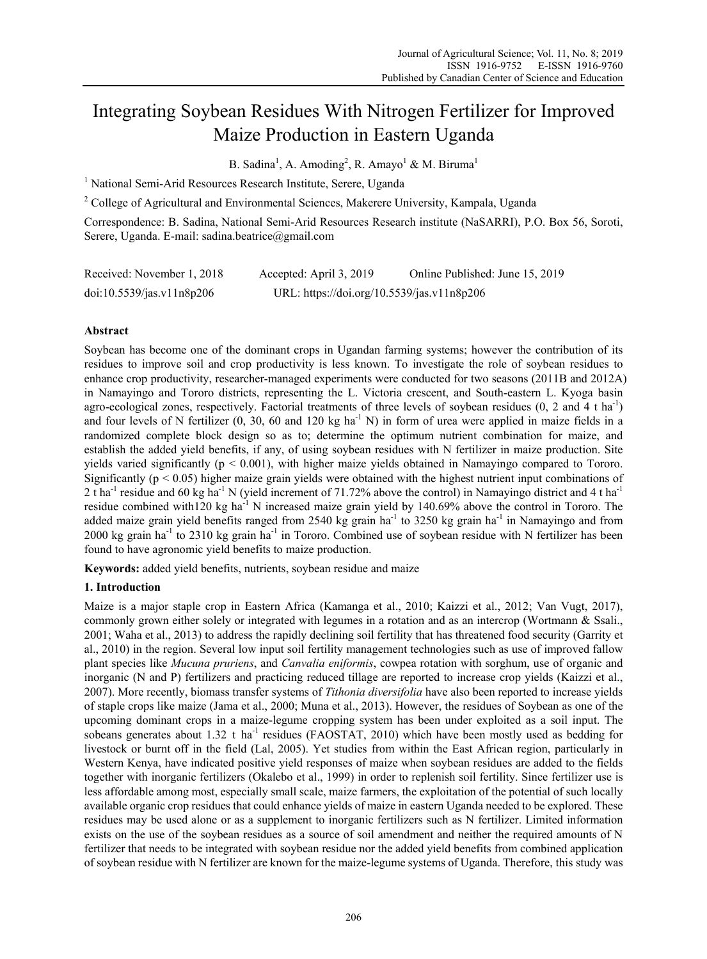# Integrating Soybean Residues With Nitrogen Fertilizer for Improved Maize Production in Eastern Uganda

B. Sadina<sup>1</sup>, A. Amoding<sup>2</sup>, R. Amayo<sup>1</sup> & M. Biruma<sup>1</sup>

<sup>1</sup> National Semi-Arid Resources Research Institute, Serere, Uganda

<sup>2</sup> College of Agricultural and Environmental Sciences, Makerere University, Kampala, Uganda

Correspondence: B. Sadina, National Semi-Arid Resources Research institute (NaSARRI), P.O. Box 56, Soroti, Serere, Uganda. E-mail: sadina.beatrice@gmail.com

| Received: November 1, 2018 | Accepted: April 3, 2019                    | Online Published: June 15, 2019 |
|----------------------------|--------------------------------------------|---------------------------------|
| doi:10.5539/jas.v11n8p206  | URL: https://doi.org/10.5539/jas.v11n8p206 |                                 |

# **Abstract**

Soybean has become one of the dominant crops in Ugandan farming systems; however the contribution of its residues to improve soil and crop productivity is less known. To investigate the role of soybean residues to enhance crop productivity, researcher-managed experiments were conducted for two seasons (2011B and 2012A) in Namayingo and Tororo districts, representing the L. Victoria crescent, and South-eastern L. Kyoga basin agro-ecological zones, respectively. Factorial treatments of three levels of soybean residues  $(0, 2 \text{ and } 4 \text{ t} \text{ ha}^{-1})$ and four levels of N fertilizer  $(0, 30, 60$  and  $120 \text{ kg ha}^{-1}$  N) in form of urea were applied in maize fields in a randomized complete block design so as to; determine the optimum nutrient combination for maize, and establish the added yield benefits, if any, of using soybean residues with N fertilizer in maize production. Site yields varied significantly (p < 0.001), with higher maize yields obtained in Namayingo compared to Tororo. Significantly (p < 0.05) higher maize grain yields were obtained with the highest nutrient input combinations of 2 t ha<sup>-1</sup> residue and 60 kg ha<sup>-1</sup> N (yield increment of 71.72% above the control) in Namayingo district and 4 t ha<sup>-1</sup> residue combined with120 kg ha<sup>-1</sup> N increased maize grain yield by 140.69% above the control in Tororo. The added maize grain yield benefits ranged from 2540 kg grain ha<sup>-1</sup> to 3250 kg grain ha<sup>-1</sup> in Namayingo and from 2000 kg grain ha<sup>-1</sup> to 2310 kg grain ha<sup>-1</sup> in Tororo. Combined use of soybean residue with N fertilizer has been found to have agronomic yield benefits to maize production.

**Keywords:** added yield benefits, nutrients, soybean residue and maize

# **1. Introduction**

Maize is a major staple crop in Eastern Africa (Kamanga et al., 2010; Kaizzi et al., 2012; Van Vugt, 2017), commonly grown either solely or integrated with legumes in a rotation and as an intercrop (Wortmann & Ssali., 2001; Waha et al., 2013) to address the rapidly declining soil fertility that has threatened food security (Garrity et al., 2010) in the region. Several low input soil fertility management technologies such as use of improved fallow plant species like *Mucuna pruriens*, and *Canvalia eniformis*, cowpea rotation with sorghum, use of organic and inorganic (N and P) fertilizers and practicing reduced tillage are reported to increase crop yields (Kaizzi et al., 2007). More recently, biomass transfer systems of *Tithonia diversifolia* have also been reported to increase yields of staple crops like maize (Jama et al., 2000; Muna et al., 2013). However, the residues of Soybean as one of the upcoming dominant crops in a maize-legume cropping system has been under exploited as a soil input. The sobeans generates about 1.32 t ha<sup>-1</sup> residues (FAOSTAT, 2010) which have been mostly used as bedding for livestock or burnt off in the field (Lal, 2005). Yet studies from within the East African region, particularly in Western Kenya, have indicated positive yield responses of maize when soybean residues are added to the fields together with inorganic fertilizers (Okalebo et al., 1999) in order to replenish soil fertility. Since fertilizer use is less affordable among most, especially small scale, maize farmers, the exploitation of the potential of such locally available organic crop residues that could enhance yields of maize in eastern Uganda needed to be explored. These residues may be used alone or as a supplement to inorganic fertilizers such as N fertilizer. Limited information exists on the use of the soybean residues as a source of soil amendment and neither the required amounts of N fertilizer that needs to be integrated with soybean residue nor the added yield benefits from combined application of soybean residue with N fertilizer are known for the maize-legume systems of Uganda. Therefore, this study was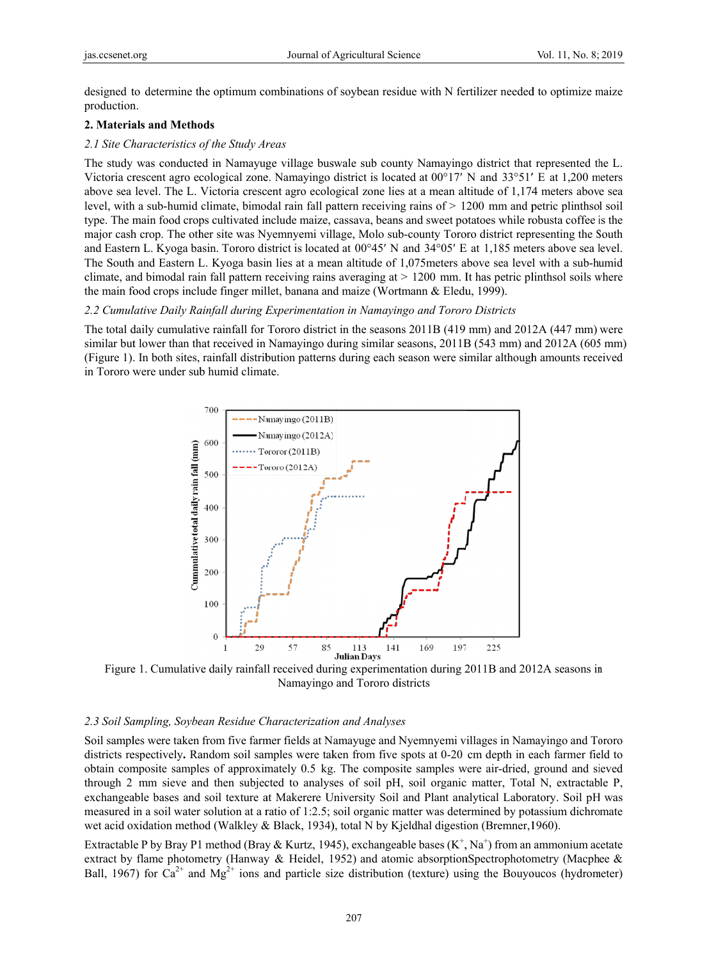designed to determine the optimum combinations of soybean residue with N fertilizer needed to optimize maize production.

## **2. Materials and Methods**

## 2.1 Site Characteristics of the Study Areas

The study was conducted in Namayuge village buswale sub county Namayingo district that represented the L. Victoria crescent agro ecological zone. Namayingo district is located at  $00^{\circ}17'$  N and  $33^{\circ}51'$  E at 1,200 meters above sea level. The L. Victoria crescent agro ecological zone lies at a mean altitude of 1,174 meters above sea level, with a sub-humid climate, bimodal rain fall pattern receiving rains of > 1200 mm and petric plinthsol soil type. The main food crops cultivated include maize, cassava, beans and sweet potatoes while robusta coffee is the major cash crop. The other site was Nyemnyemi village, Molo sub-county Tororo district representing the South and Eastern L. Kyoga basin. Tororo district is located at 00°45' N and 34°05' E at 1,185 meters above sea level. The South and Eastern L. Kyoga basin lies at a mean altitude of 1,075 meters above sea level with a sub-humid climate, and bimodal rain fall pattern receiving rains averaging  $at > 1200$  mm. It has petric plinthsol soils where the main food crops include finger millet, banana and maize (Wortmann & Eledu, 1999).

#### 2.2 Cumulative Daily Rainfall during Experimentation in Namayingo and Tororo Districts

The total daily cumulative rainfall for Tororo district in the seasons 2011B (419 mm) and 2012A (447 mm) were similar but lower than that received in Namayingo during similar seasons,  $2011B(543 mm)$  and  $2012A(605 mm)$ (Figure 1) . In both sites, rainfall distrib bution patterns s during each s season were si imilar although h amounts rece eived in Tororo were under sub humid climate.



Figure 1. Cumulative daily rainfall received during experimentation during 2011B and 2012A seasons in Figure 1. Cumulative daily rainfall received during experimentation during 2011B and 2012A seasons in<br>Namayingo and Tororo districts<br>2.3 Soil Sampling, Soybean Residue Characterization and Analyses<br>Soil samples were taken Namayingo and Tororo districts

## 2.3 Soil Sampling, Soybean Residue Characterization and Analyses

districts respectively. Random soil samples were taken from five spots at 0-20 cm depth in each farmer field to obtain composite samples of approximately 0.5 kg. The composite samples were air-dried, ground and sieved through 2 mm sieve and then subjected to analyses of soil pH, soil organic matter, Total N, extractable P, exchangeable bases and soil texture at Makerere University Soil and Plant analytical Laboratory. Soil pH was measured in a soil water solution at a ratio of 1:2.5; soil organic matter was determined by potassium dichromate wet acid oxidation method (Walkley & Black, 1934), total N by Kjeldhal digestion (Bremner, 1960).

Extractable P by Bray P1 method (Bray & Kurtz, 1945), exchangeable bases  $(K^+, Na^+)$  from an ammonium acetate extract by flame photometry (Hanway & Heidel, 1952) and atomic absorptionSpectrophotometry (Macphee & Ball, 1967) for Ca<sup>2+</sup> and Mg<sup>2+</sup> ions and particle size distribution (texture) using the Bouyoucos (hydrometer)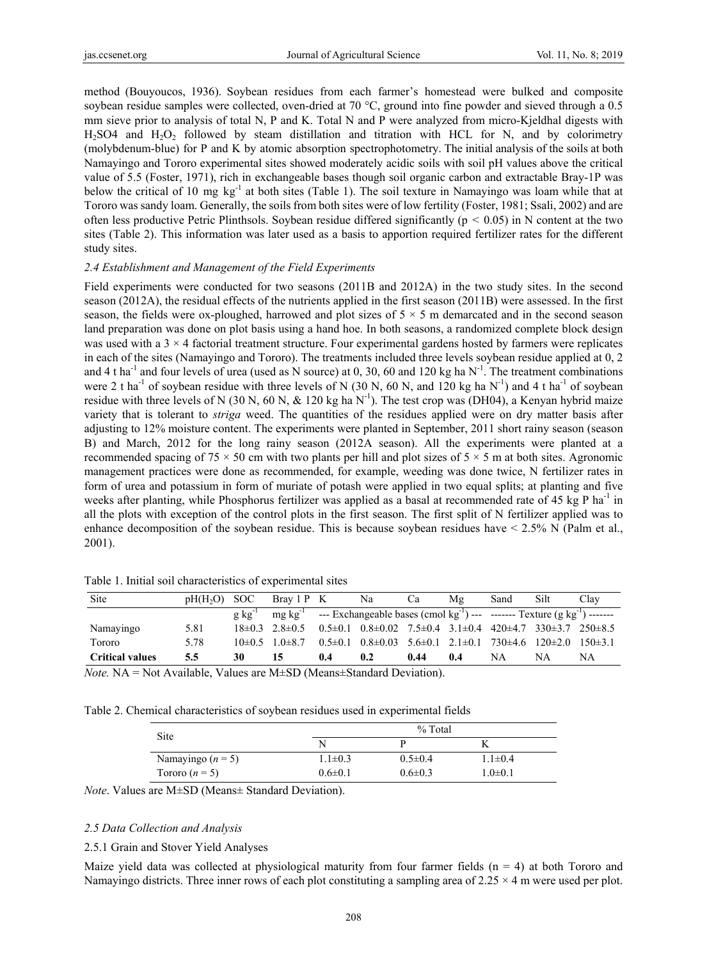method (Bouyoucos, 1936). Soybean residues from each farmer's homestead were bulked and composite soybean residue samples were collected, oven-dried at 70 °C, ground into fine powder and sieved through a 0.5 mm sieve prior to analysis of total N, P and K. Total N and P were analyzed from micro-Kjeldhal digests with  $H<sub>2</sub>SO4$  and  $H<sub>2</sub>O<sub>2</sub>$  followed by steam distillation and titration with HCL for N, and by colorimetry (molybdenum-blue) for P and K by atomic absorption spectrophotometry. The initial analysis of the soils at both Namayingo and Tororo experimental sites showed moderately acidic soils with soil pH values above the critical value of 5.5 (Foster, 1971), rich in exchangeable bases though soil organic carbon and extractable Bray-1P was below the critical of 10 mg kg<sup>-1</sup> at both sites (Table 1). The soil texture in Namayingo was loam while that at Tororo was sandy loam. Generally, the soils from both sites were of low fertility (Foster, 1981; Ssali, 2002) and are often less productive Petric Plinthsols. Soybean residue differed significantly ( $p < 0.05$ ) in N content at the two sites (Table 2). This information was later used as a basis to apportion required fertilizer rates for the different study sites.

# *2.4 Establishment and Management of the Field Experiments*

Field experiments were conducted for two seasons (2011B and 2012A) in the two study sites. In the second season (2012A), the residual effects of the nutrients applied in the first season (2011B) were assessed. In the first season, the fields were ox-ploughed, harrowed and plot sizes of  $5 \times 5$  m demarcated and in the second season land preparation was done on plot basis using a hand hoe. In both seasons, a randomized complete block design was used with a  $3 \times 4$  factorial treatment structure. Four experimental gardens hosted by farmers were replicates in each of the sites (Namayingo and Tororo). The treatments included three levels soybean residue applied at 0, 2 and 4 t ha<sup>-1</sup> and four levels of urea (used as N source) at 0, 30, 60 and 120 kg ha  $N^{-1}$ . The treatment combinations were 2 t ha<sup>-1</sup> of soybean residue with three levels of N (30 N, 60 N, and 120 kg ha N<sup>-1</sup>) and 4 t ha<sup>-1</sup> of soybean residue with three levels of N (30 N, 60 N,  $\&$  120 kg ha N<sup>-1</sup>). The test crop was (DH04), a Kenyan hybrid maize variety that is tolerant to *striga* weed. The quantities of the residues applied were on dry matter basis after adjusting to 12% moisture content. The experiments were planted in September, 2011 short rainy season (season B) and March, 2012 for the long rainy season (2012A season). All the experiments were planted at a recommended spacing of 75  $\times$  50 cm with two plants per hill and plot sizes of 5  $\times$  5 m at both sites. Agronomic management practices were done as recommended, for example, weeding was done twice, N fertilizer rates in form of urea and potassium in form of muriate of potash were applied in two equal splits; at planting and five weeks after planting, while Phosphorus fertilizer was applied as a basal at recommended rate of 45 kg P ha<sup>-1</sup> in all the plots with exception of the control plots in the first season. The first split of N fertilizer applied was to enhance decomposition of the soybean residue. This is because soybean residues have  $\leq 2.5\%$  N (Palm et al., 2001).

| Site                   | pH(H <sub>2</sub> O) | SOC.        | Bray 1 P K               |     | Na                                                                                                                | Ca   | Mg  | Sand | Silt | Clav        |
|------------------------|----------------------|-------------|--------------------------|-----|-------------------------------------------------------------------------------------------------------------------|------|-----|------|------|-------------|
|                        |                      | $g kg^{-1}$ |                          |     | $mg \, kg^{-1}$ --- Exchangeable bases (cmol kg <sup>-1</sup> ) --- ------- Texture (g kg <sup>-1</sup> ) ------- |      |     |      |      |             |
| Namayingo              | 5.81                 |             | $18\pm 03$ $28\pm 05$    |     | $0.5\pm0.1$ $0.8\pm0.02$ $7.5\pm0.4$ $3.1\pm0.4$ $420\pm4.7$ $330\pm3.7$ $250\pm8.5$                              |      |     |      |      |             |
| Tororo                 | 5.78                 |             | $10\pm 0.5$ 1 $0\pm 8.7$ |     | $0.5\pm0.1$ $0.8\pm0.03$ $5.6\pm0.1$ $2.1\pm0.1$ $730\pm4.6$ $120\pm2.0$                                          |      |     |      |      | $150\pm3.1$ |
| <b>Critical values</b> | 5.5                  | 30          | 15                       | 0.4 | 0.2                                                                                                               | 0.44 | 0.4 | NA   | NΑ   | NΑ          |

Table 1. Initial soil characteristics of experimental sites

*Note.* NA = Not Available, Values are M±SD (Means±Standard Deviation).

Table 2. Chemical characteristics of soybean residues used in experimental fields

| Site                | % Total       |               |               |  |  |  |
|---------------------|---------------|---------------|---------------|--|--|--|
|                     |               |               |               |  |  |  |
| Namayingo $(n = 5)$ | $1.1 \pm 0.3$ | $0.5 \pm 0.4$ | $1.1 \pm 0.4$ |  |  |  |
| Tororo $(n=5)$      | $0.6 \pm 0.1$ | $0.6 \pm 0.3$ | $1.0 \pm 0.1$ |  |  |  |

*Note*. Values are M±SD (Means± Standard Deviation).

# *2.5 Data Collection and Analysis*

# 2.5.1 Grain and Stover Yield Analyses

Maize yield data was collected at physiological maturity from four farmer fields  $(n = 4)$  at both Tororo and Namayingo districts. Three inner rows of each plot constituting a sampling area of  $2.25 \times 4$  m were used per plot.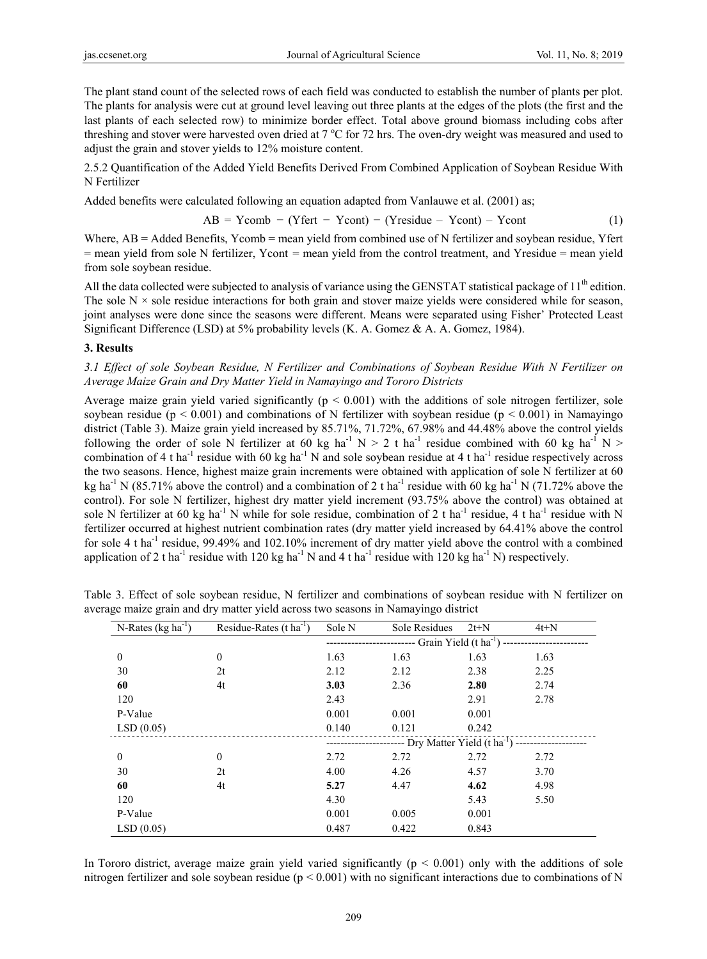The plant stand count of the selected rows of each field was conducted to establish the number of plants per plot. The plants for analysis were cut at ground level leaving out three plants at the edges of the plots (the first and the last plants of each selected row) to minimize border effect. Total above ground biomass including cobs after threshing and stover were harvested oven dried at 7 °C for 72 hrs. The oven-dry weight was measured and used to adjust the grain and stover yields to 12% moisture content.

2.5.2 Quantification of the Added Yield Benefits Derived From Combined Application of Soybean Residue With N Fertilizer

Added benefits were calculated following an equation adapted from Vanlauwe et al. (2001) as;

$$
AB = Ycomb - (Yfert - Ycont) - (Yresidue - Ycont) - Ycont
$$
 (1)

Where, AB = Added Benefits, Ycomb = mean yield from combined use of N fertilizer and soybean residue, Yfert = mean yield from sole N fertilizer, Ycont = mean yield from the control treatment, and Yresidue = mean yield from sole soybean residue.

All the data collected were subjected to analysis of variance using the GENSTAT statistical package of  $11<sup>th</sup>$  edition. The sole  $N \times$  sole residue interactions for both grain and stover maize yields were considered while for season, joint analyses were done since the seasons were different. Means were separated using Fisher' Protected Least Significant Difference (LSD) at 5% probability levels (K. A. Gomez & A. A. Gomez, 1984).

## **3. Results**

*3.1 Effect of sole Soybean Residue, N Fertilizer and Combinations of Soybean Residue With N Fertilizer on Average Maize Grain and Dry Matter Yield in Namayingo and Tororo Districts* 

Average maize grain yield varied significantly ( $p < 0.001$ ) with the additions of sole nitrogen fertilizer, sole soybean residue ( $p < 0.001$ ) and combinations of N fertilizer with soybean residue ( $p < 0.001$ ) in Namayingo district (Table 3). Maize grain yield increased by 85.71%, 71.72%, 67.98% and 44.48% above the control yields following the order of sole N fertilizer at 60 kg ha<sup>-1</sup> N > 2 t ha<sup>-1</sup> residue combined with 60 kg ha<sup>-1</sup> N > combination of 4 t ha<sup>-1</sup> residue with 60 kg ha<sup>-1</sup> N and sole soybean residue at 4 t ha<sup>-1</sup> residue respectively across the two seasons. Hence, highest maize grain increments were obtained with application of sole N fertilizer at 60 kg ha<sup>-1</sup> N (85.71% above the control) and a combination of 2 t ha<sup>-1</sup> residue with 60 kg ha<sup>-1</sup> N (71.72% above the control). For sole N fertilizer, highest dry matter yield increment (93.75% above the control) was obtained at sole N fertilizer at 60 kg ha<sup>-1</sup> N while for sole residue, combination of 2 t ha<sup>-1</sup> residue, 4 t ha<sup>-1</sup> residue with N fertilizer occurred at highest nutrient combination rates (dry matter yield increased by 64.41% above the control for sole 4 t ha-1 residue, 99.49% and 102.10% increment of dry matter yield above the control with a combined application of 2 t ha<sup>-1</sup> residue with 120 kg ha<sup>-1</sup> N and 4 t ha<sup>-1</sup> residue with 120 kg ha<sup>-1</sup> N) respectively.

| N-Rates $(kg ha^{-1})$ | Residue-Rates $(t \text{ ha}^{-1})$ | Sole N                         | Sole Residues | $2t+N$ | $4t+N$                                                            |  |
|------------------------|-------------------------------------|--------------------------------|---------------|--------|-------------------------------------------------------------------|--|
|                        |                                     | Grain Yield $(t \, ha^{-1})$ - |               |        |                                                                   |  |
| $\boldsymbol{0}$       | $\theta$                            | 1.63                           | 1.63          | 1.63   | 1.63                                                              |  |
| 30                     | 2t                                  | 2.12                           | 2.12          | 2.38   | 2.25                                                              |  |
| 60                     | 4t                                  | 3.03                           | 2.36          | 2.80   | 2.74                                                              |  |
| 120                    |                                     | 2.43                           |               | 2.91   | 2.78                                                              |  |
| P-Value                |                                     | 0.001                          | 0.001         | 0.001  |                                                                   |  |
| LSD(0.05)              |                                     | 0.140                          | 0.121         | 0.242  |                                                                   |  |
|                        |                                     |                                |               |        | ----- Dry Matter Yield (t ha <sup>-1</sup> ) -------------------- |  |
| $\mathbf{0}$           | $\theta$                            | 2.72                           | 2.72          | 2.72   | 2.72                                                              |  |
| 30                     | 2t                                  | 4.00                           | 4.26          | 4.57   | 3.70                                                              |  |
| 60                     | 4t                                  | 5.27                           | 4.47          | 4.62   | 4.98                                                              |  |
| 120                    |                                     | 4.30                           |               | 5.43   | 5.50                                                              |  |
| P-Value                |                                     | 0.001                          | 0.005         | 0.001  |                                                                   |  |
| LSD(0.05)              |                                     | 0.487                          | 0.422         | 0.843  |                                                                   |  |

Table 3. Effect of sole soybean residue, N fertilizer and combinations of soybean residue with N fertilizer on average maize grain and dry matter yield across two seasons in Namayingo district

In Tororo district, average maize grain yield varied significantly  $(p < 0.001)$  only with the additions of sole nitrogen fertilizer and sole soybean residue ( $p < 0.001$ ) with no significant interactions due to combinations of N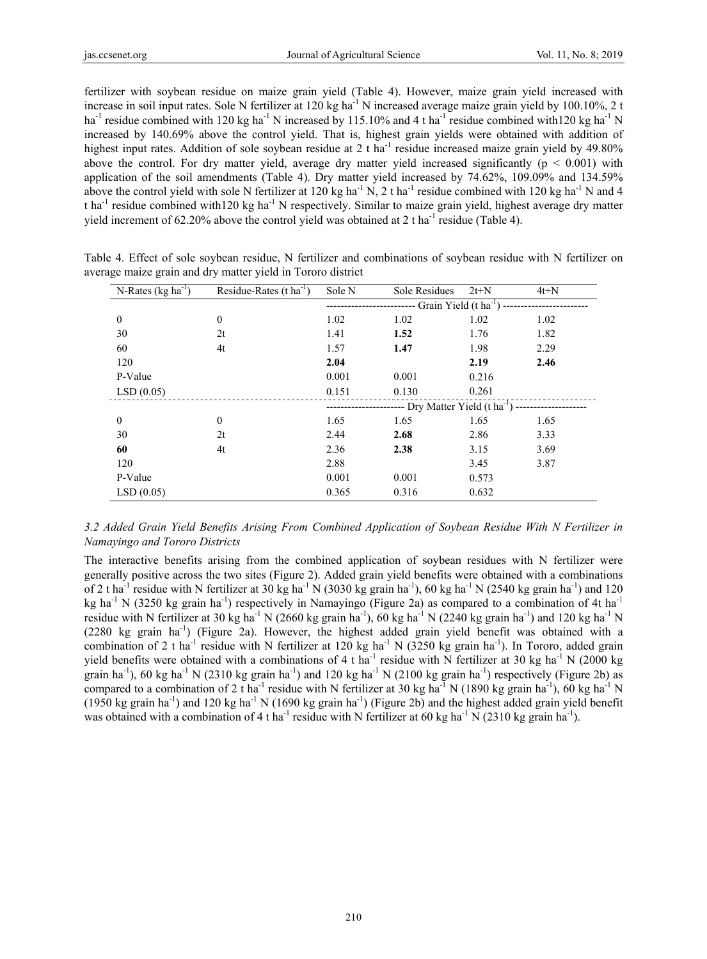fertilizer with soybean residue on maize grain yield (Table 4). However, maize grain yield increased with increase in soil input rates. Sole N fertilizer at 120 kg ha<sup>-1</sup> N increased average maize grain yield by 100.10%, 2 t ha<sup>-1</sup> residue combined with 120 kg ha<sup>-1</sup> N increased by 115.10% and 4 t ha<sup>-1</sup> residue combined with 120 kg ha<sup>-1</sup> N increased by 140.69% above the control yield. That is, highest grain yields were obtained with addition of highest input rates. Addition of sole soybean residue at 2 t ha<sup>-1</sup> residue increased maize grain yield by 49.80% above the control. For dry matter yield, average dry matter yield increased significantly ( $p < 0.001$ ) with application of the soil amendments (Table 4). Dry matter yield increased by 74.62%, 109.09% and 134.59% above the control yield with sole N fertilizer at 120 kg ha<sup>-1</sup> N, 2 t ha<sup>-1</sup> residue combined with 120 kg ha<sup>-1</sup> N and 4 t ha<sup>-1</sup> residue combined with120 kg ha<sup>-1</sup> N respectively. Similar to maize grain yield, highest average dry matter yield increment of 62.20% above the control yield was obtained at 2 t ha<sup>-1</sup> residue (Table 4).

| N-Rates $(kg ha^{-1})$ | Residue-Rates $(t \text{ ha}^{-1})$ | Sole N | Sole Residues                                                                  | $2t+N$ | $4t+N$ |
|------------------------|-------------------------------------|--------|--------------------------------------------------------------------------------|--------|--------|
|                        |                                     |        | -- Grain Yield $(t \text{ ha}^{-1})$ -                                         |        |        |
| $\boldsymbol{0}$       | $\theta$                            | 1.02   | 1.02                                                                           | 1.02   | 1.02   |
| 30                     | 2t                                  | 1.41   | 1.52                                                                           | 1.76   | 1.82   |
| 60                     | 4t                                  | 1.57   | 1.47                                                                           | 1.98   | 2.29   |
| 120                    |                                     | 2.04   |                                                                                | 2.19   | 2.46   |
| P-Value                |                                     | 0.001  | 0.001                                                                          | 0.216  |        |
| LSD(0.05)              |                                     | 0.151  | 0.130                                                                          | 0.261  |        |
|                        |                                     |        | ------------------ Dry Matter Yield (t ha <sup>-1</sup> ) -------------------- |        |        |
| $\boldsymbol{0}$       | $\theta$                            | 1.65   | 1.65                                                                           | 1.65   | 1.65   |
| 30                     | 2t                                  | 2.44   | 2.68                                                                           | 2.86   | 3.33   |
| 60                     | 4t                                  | 2.36   | 2.38                                                                           | 3.15   | 3.69   |
| 120                    |                                     | 2.88   |                                                                                | 3.45   | 3.87   |
| P-Value                |                                     | 0.001  | 0.001                                                                          | 0.573  |        |
| LSD(0.05)              |                                     | 0.365  | 0.316                                                                          | 0.632  |        |

Table 4. Effect of sole soybean residue, N fertilizer and combinations of soybean residue with N fertilizer on average maize grain and dry matter yield in Tororo district

# *3.2 Added Grain Yield Benefits Arising From Combined Application of Soybean Residue With N Fertilizer in Namayingo and Tororo Districts*

The interactive benefits arising from the combined application of soybean residues with N fertilizer were generally positive across the two sites (Figure 2). Added grain yield benefits were obtained with a combinations of 2 t ha<sup>-1</sup> residue with N fertilizer at 30 kg ha<sup>-1</sup> N (3030 kg grain ha<sup>-1</sup>), 60 kg ha<sup>-1</sup> N (2540 kg grain ha<sup>-1</sup>) and 120 kg ha<sup>-1</sup> N (3250 kg grain ha<sup>-1</sup>) respectively in Namayingo (Figure 2a) as compared to a combination of 4t ha<sup>-1</sup> residue with N fertilizer at 30 kg ha<sup>-1</sup> N (2660 kg grain ha<sup>-1</sup>), 60 kg ha<sup>-1</sup> N (2240 kg grain ha<sup>-1</sup>) and 120 kg ha<sup>-1</sup> N  $(2280 \text{ kg grain ha}^{-1})$  (Figure 2a). However, the highest added grain yield benefit was obtained with a combination of 2 t ha<sup>-1</sup> residue with N fertilizer at 120 kg ha<sup>-1</sup> N (3250 kg grain ha<sup>-1</sup>). In Tororo, added grain yield benefits were obtained with a combinations of 4 t ha<sup>-1</sup> residue with N fertilizer at 30 kg ha<sup>-1</sup> N (2000 kg grain ha<sup>-1</sup>), 60 kg ha<sup>-1</sup> N (2310 kg grain ha<sup>-1</sup>) and 120 kg ha<sup>-1</sup> N (2100 kg grain ha<sup>-1</sup>) respectively (Figure 2b) as compared to a combination of 2 t ha<sup>-1</sup> residue with N fertilizer at 30 kg ha<sup>-1</sup> N (1890 kg grain ha<sup>-1</sup>), 60 kg ha<sup>-1</sup> N (1950 kg grain ha<sup>-1</sup>) and 120 kg ha<sup>-1</sup> N (1690 kg grain ha<sup>-1</sup>) (Figure 2b) and the highest added grain yield benefit was obtained with a combination of 4 t ha<sup>-1</sup> residue with N fertilizer at 60 kg ha<sup>-1</sup> N (2310 kg grain ha<sup>-1</sup>).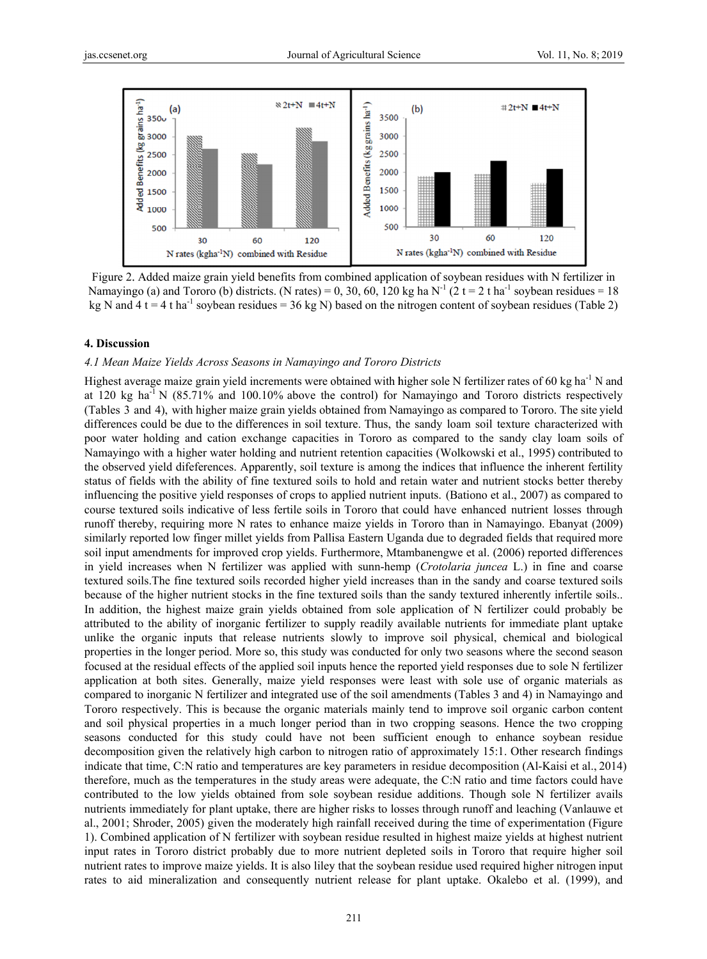

Figure 2. Added maize grain yield benefits from combined application of soybean residues with N fertilizer in Namayingo (a) and Tororo (b) districts. (N rates) = 0, 30, 60, 120 kg ha N<sup>-1</sup> (2 t = 2 t ha<sup>-1</sup> soybean residues = 18 kg N and 4 t = 4 t ha<sup>-1</sup> soybean residues = 36 kg N) based on the nitrogen content of soybean residues (Table 2)

#### **4. Discuss sion**

## 4.1 Mean Maize Yields Across Seasons in Namayingo and Tororo Districts

Highest average maize grain yield increments were obtained with higher sole N fertilizer rates of 60 kg ha<sup>-1</sup> N and at 120 kg  $ha^{-1}N$  (85.71% and 100.10% above the control) for Namayingo and Tororo districts respectively (Tables 3 and 4), with higher maize grain yields obtained from Namayingo as compared to Tororo. The site yield differences could be due to the differences in soil texture. Thus, the sandy loam soil texture characterized with poor water holding and cation exchange capacities in Tororo as compared to the sandy clay loam soils of Namayingo with a higher water holding and nutrient retention capacities (Wolkowski et al., 1995) contributed to the observed yield difeferences. Apparently, soil texture is among the indices that influence the inherent fertility status of fields with the ability of fine textured soils to hold and retain water and nutrient stocks better thereby influencing the positive yield responses of crops to applied nutrient inputs. (Bationo et al., 2007) as compared to course textured soils indicative of less fertile soils in Tororo that could have enhanced nutrient losses through runoff thereby, requiring more N rates to enhance maize yields in Tororo than in Namayingo. Ebanyat (2009) similarly reported low finger millet yields from Pallisa Eastern Uganda due to degraded fields that required more soil input amendments for improved crop yields. Furthermore, Mtambanengwe et al. (2006) reported differences in yield increases when N fertilizer was applied with sunn-hemp (*Crotolaria juncea* L.) in fine and coarse textured soils. The fine textured soils recorded higher yield increases than in the sandy and coarse textured soils because of the higher nutrient stocks in the fine textured soils than the sandy textured inherently infertile soils.. In addition, the highest maize grain yields obtained from sole application of N fertilizer could probably be attributed to the ability of inorganic fertilizer to supply readily available nutrients for immediate plant uptake unlike the organic inputs that release nutrients slowly to improve soil physical, chemical and biological properties in the longer period. More so, this study was conducted for only two seasons where the second season focused at the residual effects of the applied soil inputs hence the reported yield responses due to sole N fertilizer application at both sites. Generally, maize yield responses were least with sole use of organic materials as compared to inorganic N fertilizer and integrated use of the soil amendments (Tables 3 and 4) in Namayingo and Tororo respectively. This is because the organic materials mainly tend to improve soil organic carbon content and soil physical properties in a much longer period than in two cropping seasons. Hence the two cropping seasons conducted for this study could have not been sufficient enough to enhance soybean residue decomposition given the relatively high carbon to nitrogen ratio of approximately 15:1. Other research findings indicate that time, C:N ratio and temperatures are key parameters in residue decomposition (Al-Kaisi et al., 2014) therefore, much as the temperatures in the study areas were adequate, the C:N ratio and time factors could have contributed to the low yields obtained from sole soybean residue additions. Though sole N fertilizer avails nutrients immediately for plant uptake, there are higher risks to losses through runoff and leaching (Vanlauwe et al., 2001; Shroder, 2005) given the moderately high rainfall received during the time of experimentation (Figure 1). Combined application of N fertilizer with soybean residue resulted in highest maize yields at highest nutrient input rates in Tororo district probably due to more nutrient depleted soils in Tororo that require higher soil nutrient rates to improve maize yields. It is also liley that the soybean residue used required higher nitrogen input rates to aid mineralization and consequently nutrient release for plant uptake. Okalebo et al. (1999), and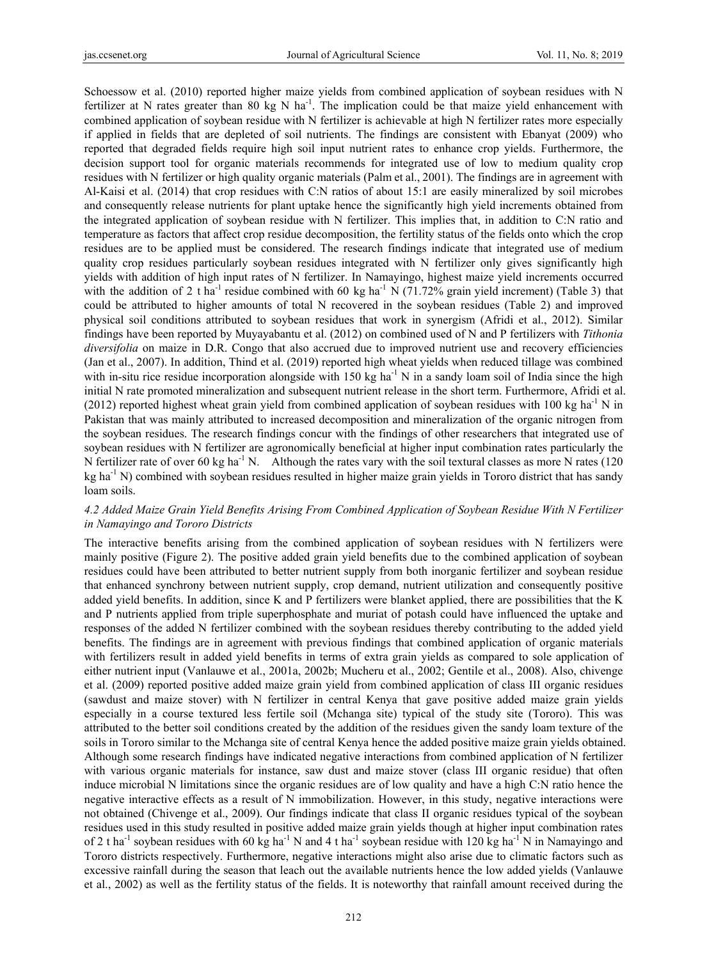Schoessow et al. (2010) reported higher maize yields from combined application of soybean residues with N fertilizer at N rates greater than 80 kg N ha<sup>-1</sup>. The implication could be that maize yield enhancement with combined application of soybean residue with N fertilizer is achievable at high N fertilizer rates more especially if applied in fields that are depleted of soil nutrients. The findings are consistent with Ebanyat (2009) who reported that degraded fields require high soil input nutrient rates to enhance crop yields. Furthermore, the decision support tool for organic materials recommends for integrated use of low to medium quality crop residues with N fertilizer or high quality organic materials (Palm et al., 2001). The findings are in agreement with Al-Kaisi et al. (2014) that crop residues with C:N ratios of about 15:1 are easily mineralized by soil microbes and consequently release nutrients for plant uptake hence the significantly high yield increments obtained from the integrated application of soybean residue with N fertilizer. This implies that, in addition to C:N ratio and temperature as factors that affect crop residue decomposition, the fertility status of the fields onto which the crop residues are to be applied must be considered. The research findings indicate that integrated use of medium quality crop residues particularly soybean residues integrated with N fertilizer only gives significantly high yields with addition of high input rates of N fertilizer. In Namayingo, highest maize yield increments occurred with the addition of 2 t ha<sup>-1</sup> residue combined with 60 kg ha<sup>-1</sup> N (71.72% grain yield increment) (Table 3) that could be attributed to higher amounts of total N recovered in the soybean residues (Table 2) and improved physical soil conditions attributed to soybean residues that work in synergism (Afridi et al., 2012). Similar findings have been reported by Muyayabantu et al. (2012) on combined used of N and P fertilizers with *Tithonia diversifolia* on maize in D.R. Congo that also accrued due to improved nutrient use and recovery efficiencies (Jan et al., 2007). In addition, Thind et al. (2019) reported high wheat yields when reduced tillage was combined with in-situ rice residue incorporation alongside with 150 kg ha<sup>-1</sup> N in a sandy loam soil of India since the high initial N rate promoted mineralization and subsequent nutrient release in the short term. Furthermore, Afridi et al. (2012) reported highest wheat grain yield from combined application of soybean residues with 100 kg ha<sup>-1</sup> N in Pakistan that was mainly attributed to increased decomposition and mineralization of the organic nitrogen from the soybean residues. The research findings concur with the findings of other researchers that integrated use of soybean residues with N fertilizer are agronomically beneficial at higher input combination rates particularly the N fertilizer rate of over 60 kg ha<sup>-1</sup> N. Although the rates vary with the soil textural classes as more N rates (120) kg ha<sup>-1</sup> N) combined with soybean residues resulted in higher maize grain yields in Tororo district that has sandy loam soils.

# *4.2 Added Maize Grain Yield Benefits Arising From Combined Application of Soybean Residue With N Fertilizer in Namayingo and Tororo Districts*

The interactive benefits arising from the combined application of soybean residues with N fertilizers were mainly positive (Figure 2). The positive added grain yield benefits due to the combined application of soybean residues could have been attributed to better nutrient supply from both inorganic fertilizer and soybean residue that enhanced synchrony between nutrient supply, crop demand, nutrient utilization and consequently positive added yield benefits. In addition, since K and P fertilizers were blanket applied, there are possibilities that the K and P nutrients applied from triple superphosphate and muriat of potash could have influenced the uptake and responses of the added N fertilizer combined with the soybean residues thereby contributing to the added yield benefits. The findings are in agreement with previous findings that combined application of organic materials with fertilizers result in added yield benefits in terms of extra grain yields as compared to sole application of either nutrient input (Vanlauwe et al., 2001a, 2002b; Mucheru et al., 2002; Gentile et al., 2008). Also, chivenge et al. (2009) reported positive added maize grain yield from combined application of class III organic residues (sawdust and maize stover) with N fertilizer in central Kenya that gave positive added maize grain yields especially in a course textured less fertile soil (Mchanga site) typical of the study site (Tororo). This was attributed to the better soil conditions created by the addition of the residues given the sandy loam texture of the soils in Tororo similar to the Mchanga site of central Kenya hence the added positive maize grain yields obtained. Although some research findings have indicated negative interactions from combined application of N fertilizer with various organic materials for instance, saw dust and maize stover (class III organic residue) that often induce microbial N limitations since the organic residues are of low quality and have a high C:N ratio hence the negative interactive effects as a result of N immobilization. However, in this study, negative interactions were not obtained (Chivenge et al., 2009). Our findings indicate that class II organic residues typical of the soybean residues used in this study resulted in positive added maize grain yields though at higher input combination rates of 2 t ha<sup>-1</sup> soybean residues with 60 kg ha<sup>-1</sup> N and 4 t ha<sup>-1</sup> soybean residue with 120 kg ha<sup>-1</sup> N in Namayingo and Tororo districts respectively. Furthermore, negative interactions might also arise due to climatic factors such as excessive rainfall during the season that leach out the available nutrients hence the low added yields (Vanlauwe et al., 2002) as well as the fertility status of the fields. It is noteworthy that rainfall amount received during the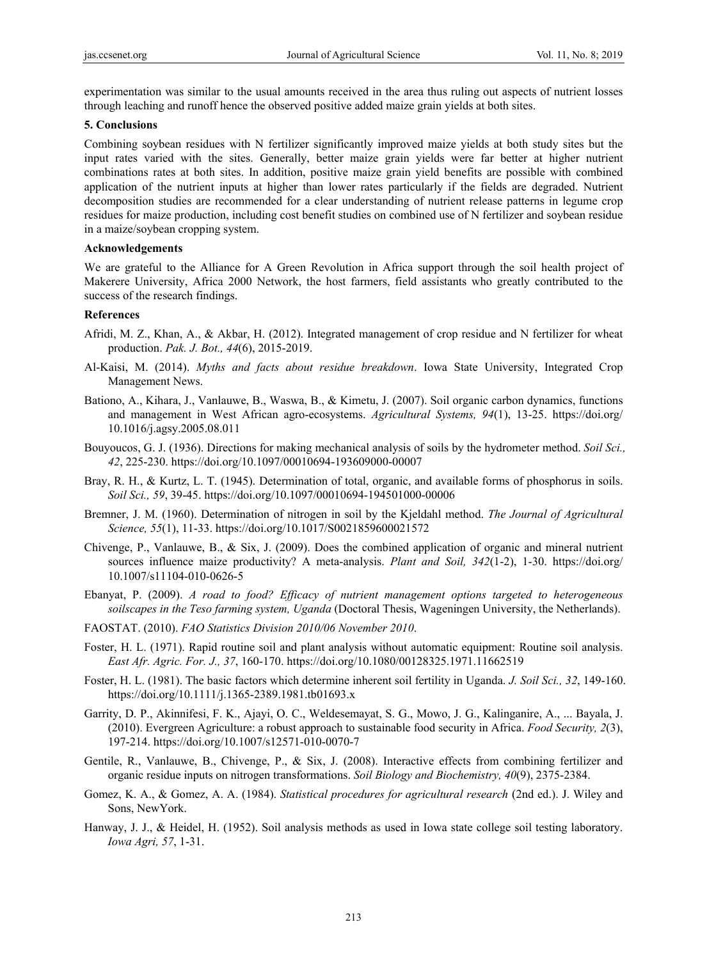experimentation was similar to the usual amounts received in the area thus ruling out aspects of nutrient losses through leaching and runoff hence the observed positive added maize grain yields at both sites.

#### **5. Conclusions**

Combining soybean residues with N fertilizer significantly improved maize yields at both study sites but the input rates varied with the sites. Generally, better maize grain yields were far better at higher nutrient combinations rates at both sites. In addition, positive maize grain yield benefits are possible with combined application of the nutrient inputs at higher than lower rates particularly if the fields are degraded. Nutrient decomposition studies are recommended for a clear understanding of nutrient release patterns in legume crop residues for maize production, including cost benefit studies on combined use of N fertilizer and soybean residue in a maize/soybean cropping system.

#### **Acknowledgements**

We are grateful to the Alliance for A Green Revolution in Africa support through the soil health project of Makerere University, Africa 2000 Network, the host farmers, field assistants who greatly contributed to the success of the research findings.

## **References**

- Afridi, M. Z., Khan, A., & Akbar, H. (2012). Integrated management of crop residue and N fertilizer for wheat production. *Pak. J. Bot., 44*(6), 2015-2019.
- Al-Kaisi, M. (2014). *Myths and facts about residue breakdown*. Iowa State University, Integrated Crop Management News.
- Bationo, A., Kihara, J., Vanlauwe, B., Waswa, B., & Kimetu, J. (2007). Soil organic carbon dynamics, functions and management in West African agro-ecosystems. *Agricultural Systems, 94*(1), 13-25. https://doi.org/ 10.1016/j.agsy.2005.08.011
- Bouyoucos, G. J. (1936). Directions for making mechanical analysis of soils by the hydrometer method. *Soil Sci., 42*, 225-230. https://doi.org/10.1097/00010694-193609000-00007
- Bray, R. H., & Kurtz, L. T. (1945). Determination of total, organic, and available forms of phosphorus in soils. *Soil Sci., 59*, 39-45. https://doi.org/10.1097/00010694-194501000-00006
- Bremner, J. M. (1960). Determination of nitrogen in soil by the Kjeldahl method. *The Journal of Agricultural Science, 55*(1), 11-33. https://doi.org/10.1017/S0021859600021572
- Chivenge, P., Vanlauwe, B., & Six, J. (2009). Does the combined application of organic and mineral nutrient sources influence maize productivity? A meta-analysis. *Plant and Soil, 342*(1-2), 1-30. https://doi.org/ 10.1007/s11104-010-0626-5
- Ebanyat, P. (2009). *A road to food? Efficacy of nutrient management options targeted to heterogeneous soilscapes in the Teso farming system, Uganda* (Doctoral Thesis, Wageningen University, the Netherlands).
- FAOSTAT. (2010). *FAO Statistics Division 2010/06 November 2010*.
- Foster, H. L. (1971). Rapid routine soil and plant analysis without automatic equipment: Routine soil analysis. *East Afr. Agric. For. J., 37*, 160-170. https://doi.org/10.1080/00128325.1971.11662519
- Foster, H. L. (1981). The basic factors which determine inherent soil fertility in Uganda. *J. Soil Sci., 32*, 149-160. https://doi.org/10.1111/j.1365-2389.1981.tb01693.x
- Garrity, D. P., Akinnifesi, F. K., Ajayi, O. C., Weldesemayat, S. G., Mowo, J. G., Kalinganire, A., ... Bayala, J. (2010). Evergreen Agriculture: a robust approach to sustainable food security in Africa. *Food Security, 2*(3), 197-214. https://doi.org/10.1007/s12571-010-0070-7
- Gentile, R., Vanlauwe, B., Chivenge, P., & Six, J. (2008). Interactive effects from combining fertilizer and organic residue inputs on nitrogen transformations. *Soil Biology and Biochemistry, 40*(9), 2375-2384.
- Gomez, K. A., & Gomez, A. A. (1984). *Statistical procedures for agricultural research* (2nd ed.). J. Wiley and Sons, NewYork.
- Hanway, J. J., & Heidel, H. (1952). Soil analysis methods as used in Iowa state college soil testing laboratory. *Iowa Agri, 57*, 1-31.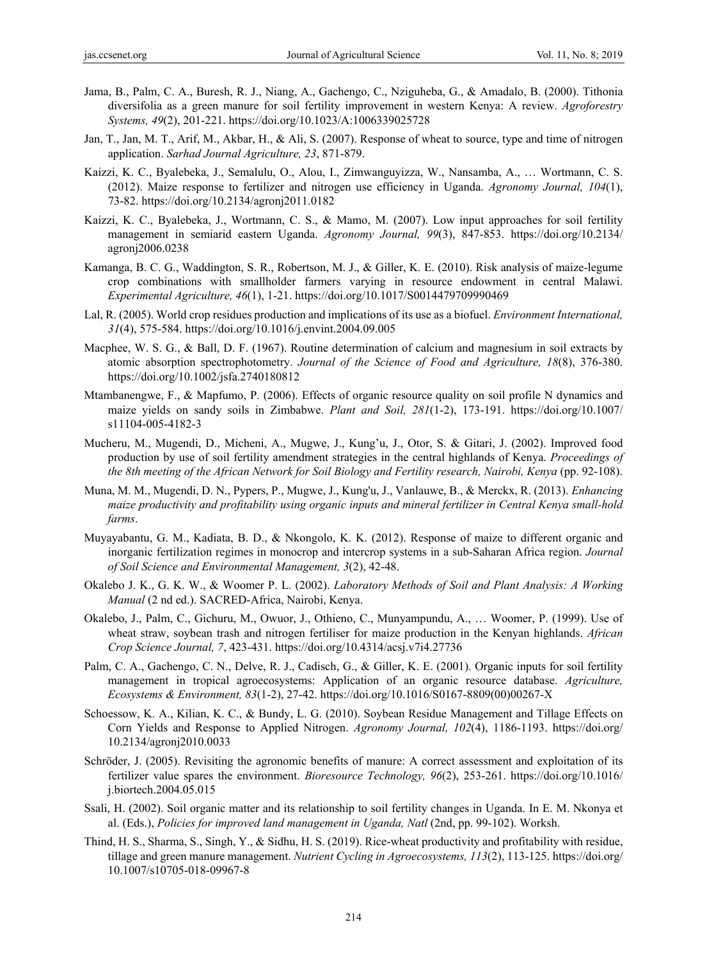- Jama, B., Palm, C. A., Buresh, R. J., Niang, A., Gachengo, C., Nziguheba, G., & Amadalo, B. (2000). Tithonia diversifolia as a green manure for soil fertility improvement in western Kenya: A review. *Agroforestry Systems, 49*(2), 201-221. https://doi.org/10.1023/A:1006339025728
- Jan, T., Jan, M. T., Arif, M., Akbar, H., & Ali, S. (2007). Response of wheat to source, type and time of nitrogen application. *Sarhad Journal Agriculture, 23*, 871-879.
- Kaizzi, K. C., Byalebeka, J., Semalulu, O., Alou, I., Zimwanguyizza, W., Nansamba, A., … Wortmann, C. S. (2012). Maize response to fertilizer and nitrogen use efficiency in Uganda. *Agronomy Journal, 104*(1), 73-82. https://doi.org/10.2134/agronj2011.0182
- Kaizzi, K. C., Byalebeka, J., Wortmann, C. S., & Mamo, M. (2007). Low input approaches for soil fertility management in semiarid eastern Uganda. *Agronomy Journal, 99*(3), 847-853. https://doi.org/10.2134/ agronj2006.0238
- Kamanga, B. C. G., Waddington, S. R., Robertson, M. J., & Giller, K. E. (2010). Risk analysis of maize-legume crop combinations with smallholder farmers varying in resource endowment in central Malawi. *Experimental Agriculture, 46*(1), 1-21. https://doi.org/10.1017/S0014479709990469
- Lal, R. (2005). World crop residues production and implications of its use as a biofuel. *Environment International, 31*(4), 575-584. https://doi.org/10.1016/j.envint.2004.09.005
- Macphee, W. S. G., & Ball, D. F. (1967). Routine determination of calcium and magnesium in soil extracts by atomic absorption spectrophotometry. *Journal of the Science of Food and Agriculture, 18*(8), 376-380. https://doi.org/10.1002/jsfa.2740180812
- Mtambanengwe, F., & Mapfumo, P. (2006). Effects of organic resource quality on soil profile N dynamics and maize yields on sandy soils in Zimbabwe. *Plant and Soil, 281*(1-2), 173-191. https://doi.org/10.1007/ s11104-005-4182-3
- Mucheru, M., Mugendi, D., Micheni, A., Mugwe, J., Kung'u, J., Otor, S. & Gitari, J. (2002). Improved food production by use of soil fertility amendment strategies in the central highlands of Kenya. *Proceedings of the 8th meeting of the African Network for Soil Biology and Fertility research, Nairobi, Kenya* (pp. 92-108).
- Muna, M. M., Mugendi, D. N., Pypers, P., Mugwe, J., Kung'u, J., Vanlauwe, B., & Merckx, R. (2013). *Enhancing maize productivity and profitability using organic inputs and mineral fertilizer in Central Kenya small-hold farms*.
- Muyayabantu, G. M., Kadiata, B. D., & Nkongolo, K. K. (2012). Response of maize to different organic and inorganic fertilization regimes in monocrop and intercrop systems in a sub-Saharan Africa region. *Journal of Soil Science and Environmental Management, 3*(2), 42-48.
- Okalebo J. K., G. K. W., & Woomer P. L. (2002). *Laboratory Methods of Soil and Plant Analysis: A Working Manual* (2 nd ed.). SACRED-Africa, Nairobi, Kenya.
- Okalebo, J., Palm, C., Gichuru, M., Owuor, J., Othieno, C., Munyampundu, A., … Woomer, P. (1999). Use of wheat straw, soybean trash and nitrogen fertiliser for maize production in the Kenyan highlands. *African Crop Science Journal, 7*, 423-431. https://doi.org/10.4314/acsj.v7i4.27736
- Palm, C. A., Gachengo, C. N., Delve, R. J., Cadisch, G., & Giller, K. E. (2001). Organic inputs for soil fertility management in tropical agroecosystems: Application of an organic resource database. *Agriculture, Ecosystems & Environment, 83*(1-2), 27-42. https://doi.org/10.1016/S0167-8809(00)00267-X
- Schoessow, K. A., Kilian, K. C., & Bundy, L. G. (2010). Soybean Residue Management and Tillage Effects on Corn Yields and Response to Applied Nitrogen. *Agronomy Journal, 102*(4), 1186-1193. https://doi.org/ 10.2134/agronj2010.0033
- Schröder, J. (2005). Revisiting the agronomic benefits of manure: A correct assessment and exploitation of its fertilizer value spares the environment. *Bioresource Technology, 96*(2), 253-261. https://doi.org/10.1016/ j.biortech.2004.05.015
- Ssali, H. (2002). Soil organic matter and its relationship to soil fertility changes in Uganda. In E. M. Nkonya et al. (Eds.), *Policies for improved land management in Uganda, Natl* (2nd, pp. 99-102). Worksh.
- Thind, H. S., Sharma, S., Singh, Y., & Sidhu, H. S. (2019). Rice-wheat productivity and profitability with residue, tillage and green manure management. *Nutrient Cycling in Agroecosystems, 113*(2), 113-125. https://doi.org/ 10.1007/s10705-018-09967-8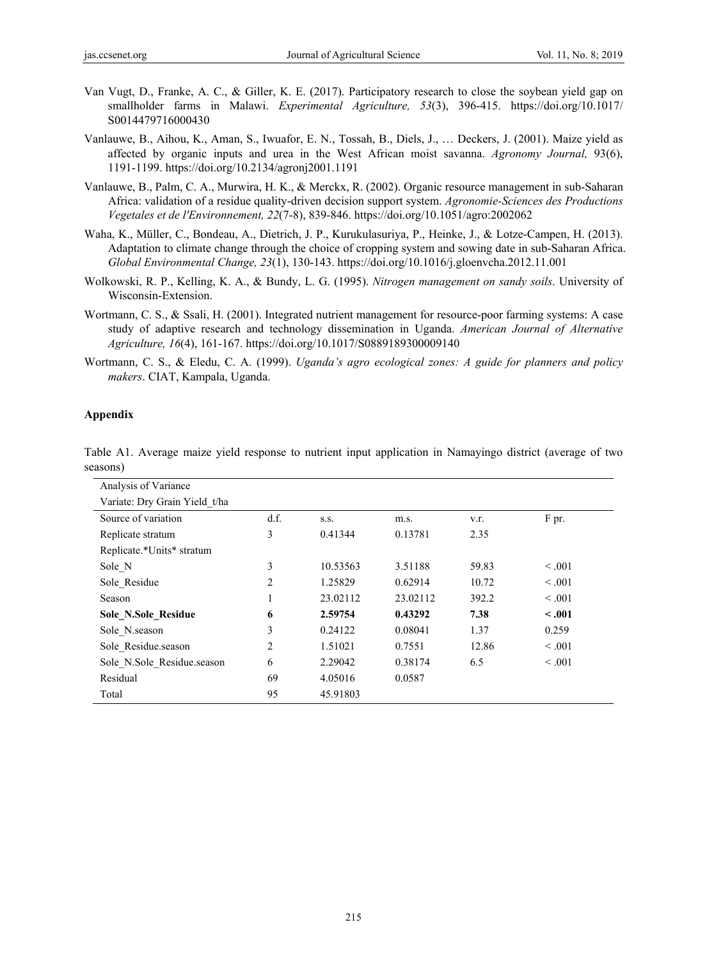- Van Vugt, D., Franke, A. C., & Giller, K. E. (2017). Participatory research to close the soybean yield gap on smallholder farms in Malawi. *Experimental Agriculture, 53*(3), 396-415. https://doi.org/10.1017/ S0014479716000430
- Vanlauwe, B., Aihou, K., Aman, S., Iwuafor, E. N., Tossah, B., Diels, J., … Deckers, J. (2001). Maize yield as affected by organic inputs and urea in the West African moist savanna. *Agronomy Journal,* 93(6), 1191-1199. https://doi.org/10.2134/agronj2001.1191
- Vanlauwe, B., Palm, C. A., Murwira, H. K., & Merckx, R. (2002). Organic resource management in sub-Saharan Africa: validation of a residue quality-driven decision support system. *Agronomie-Sciences des Productions Vegetales et de l'Environnement, 22*(7-8), 839-846. https://doi.org/10.1051/agro:2002062
- Waha, K., Müller, C., Bondeau, A., Dietrich, J. P., Kurukulasuriya, P., Heinke, J., & Lotze-Campen, H. (2013). Adaptation to climate change through the choice of cropping system and sowing date in sub-Saharan Africa. *Global Environmental Change, 23*(1), 130-143. https://doi.org/10.1016/j.gloenvcha.2012.11.001
- Wolkowski, R. P., Kelling, K. A., & Bundy, L. G. (1995). *Nitrogen management on sandy soils*. University of Wisconsin-Extension.
- Wortmann, C. S., & Ssali, H. (2001). Integrated nutrient management for resource-poor farming systems: A case study of adaptive research and technology dissemination in Uganda. *American Journal of Alternative Agriculture, 16*(4), 161-167. https://doi.org/10.1017/S0889189300009140
- Wortmann, C. S., & Eledu, C. A. (1999). *Uganda's agro ecological zones: A guide for planners and policy makers*. CIAT, Kampala, Uganda.

## **Appendix**

| Analysis of Variance          |      |          |          |       |         |
|-------------------------------|------|----------|----------|-------|---------|
| Variate: Dry Grain Yield t/ha |      |          |          |       |         |
| Source of variation           | d.f. | S.S.     | m.s.     | V.I.  | F pr.   |
| Replicate stratum             | 3    | 0.41344  | 0.13781  | 2.35  |         |
| Replicate.*Units* stratum     |      |          |          |       |         |
| Sole N                        | 3    | 10.53563 | 3.51188  | 59.83 | < 0.001 |
| Sole Residue                  | 2    | 1.25829  | 0.62914  | 10.72 | < 0.001 |
| Season                        |      | 23.02112 | 23.02112 | 392.2 | < 0.001 |
| Sole N.Sole Residue           | 6    | 2.59754  | 0.43292  | 7.38  | $-.001$ |
| Sole N.season                 | 3    | 0.24122  | 0.08041  | 1.37  | 0.259   |
| Sole Residue.season           | 2    | 1.51021  | 0.7551   | 12.86 | < 0.001 |
| Sole N.Sole Residue.season    | 6    | 2.29042  | 0.38174  | 6.5   | < 0.001 |
| Residual                      | 69   | 4.05016  | 0.0587   |       |         |
| Total                         | 95   | 45.91803 |          |       |         |

Table A1. Average maize yield response to nutrient input application in Namayingo district (average of two seasons)